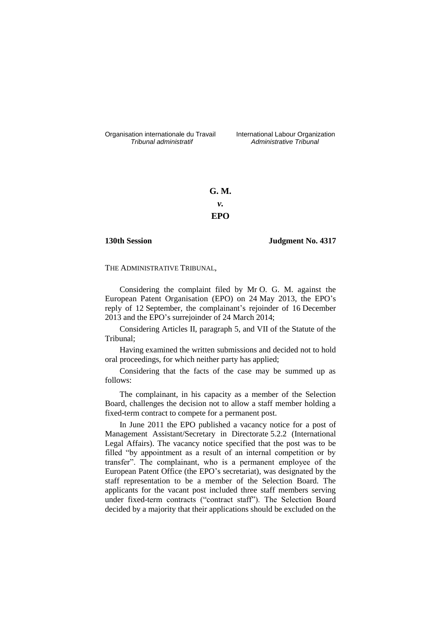Organisation internationale du Travail International Labour Organization<br>*Tribunal administratif Administrative Tribunal* 

*Tribunal administratif Administrative Tribunal*

**G. M.** *v.* **EPO**

**130th Session Judgment No. 4317**

THE ADMINISTRATIVE TRIBUNAL,

Considering the complaint filed by Mr O. G. M. against the European Patent Organisation (EPO) on 24 May 2013, the EPO's reply of 12 September, the complainant's rejoinder of 16 December 2013 and the EPO's surrejoinder of 24 March 2014;

Considering Articles II, paragraph 5, and VII of the Statute of the Tribunal;

Having examined the written submissions and decided not to hold oral proceedings, for which neither party has applied;

Considering that the facts of the case may be summed up as follows:

The complainant, in his capacity as a member of the Selection Board, challenges the decision not to allow a staff member holding a fixed-term contract to compete for a permanent post.

In June 2011 the EPO published a vacancy notice for a post of Management Assistant/Secretary in Directorate 5.2.2 (International Legal Affairs). The vacancy notice specified that the post was to be filled "by appointment as a result of an internal competition or by transfer". The complainant, who is a permanent employee of the European Patent Office (the EPO's secretariat), was designated by the staff representation to be a member of the Selection Board. The applicants for the vacant post included three staff members serving under fixed-term contracts ("contract staff"). The Selection Board decided by a majority that their applications should be excluded on the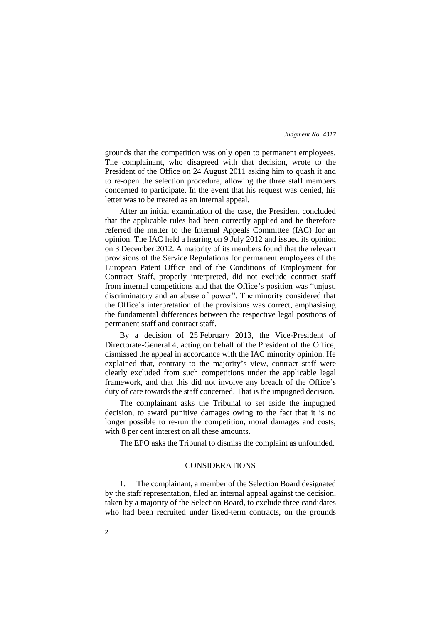### *Judgment No. 4317*

grounds that the competition was only open to permanent employees. The complainant, who disagreed with that decision, wrote to the President of the Office on 24 August 2011 asking him to quash it and to re-open the selection procedure, allowing the three staff members concerned to participate. In the event that his request was denied, his letter was to be treated as an internal appeal.

After an initial examination of the case, the President concluded that the applicable rules had been correctly applied and he therefore referred the matter to the Internal Appeals Committee (IAC) for an opinion. The IAC held a hearing on 9 July 2012 and issued its opinion on 3 December 2012. A majority of its members found that the relevant provisions of the Service Regulations for permanent employees of the European Patent Office and of the Conditions of Employment for Contract Staff, properly interpreted, did not exclude contract staff from internal competitions and that the Office's position was "unjust, discriminatory and an abuse of power". The minority considered that the Office's interpretation of the provisions was correct, emphasising the fundamental differences between the respective legal positions of permanent staff and contract staff.

By a decision of 25 February 2013, the Vice-President of Directorate-General 4, acting on behalf of the President of the Office, dismissed the appeal in accordance with the IAC minority opinion. He explained that, contrary to the majority's view, contract staff were clearly excluded from such competitions under the applicable legal framework, and that this did not involve any breach of the Office's duty of care towards the staff concerned. That is the impugned decision.

The complainant asks the Tribunal to set aside the impugned decision, to award punitive damages owing to the fact that it is no longer possible to re-run the competition, moral damages and costs, with 8 per cent interest on all these amounts.

The EPO asks the Tribunal to dismiss the complaint as unfounded.

## CONSIDERATIONS

1. The complainant, a member of the Selection Board designated by the staff representation, filed an internal appeal against the decision, taken by a majority of the Selection Board, to exclude three candidates who had been recruited under fixed-term contracts, on the grounds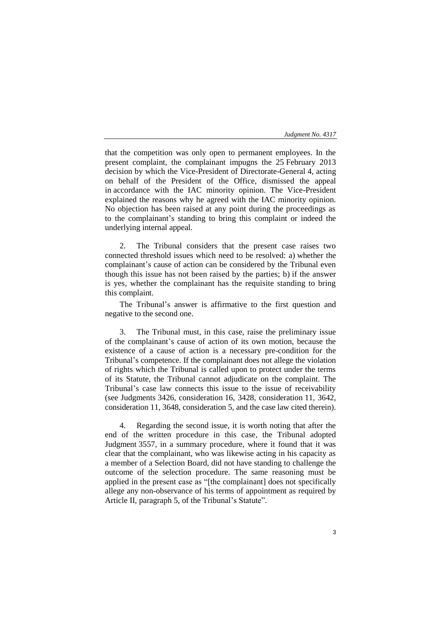## *Judgment No. 4317*

that the competition was only open to permanent employees. In the present complaint, the complainant impugns the 25 February 2013 decision by which the Vice-President of Directorate-General 4, acting on behalf of the President of the Office, dismissed the appeal in accordance with the IAC minority opinion. The Vice-President explained the reasons why he agreed with the IAC minority opinion. No objection has been raised at any point during the proceedings as to the complainant's standing to bring this complaint or indeed the underlying internal appeal.

2. The Tribunal considers that the present case raises two connected threshold issues which need to be resolved: a) whether the complainant's cause of action can be considered by the Tribunal even though this issue has not been raised by the parties; b) if the answer is yes, whether the complainant has the requisite standing to bring this complaint.

The Tribunal's answer is affirmative to the first question and negative to the second one.

3. The Tribunal must, in this case, raise the preliminary issue of the complainant's cause of action of its own motion, because the existence of a cause of action is a necessary pre-condition for the Tribunal's competence. If the complainant does not allege the violation of rights which the Tribunal is called upon to protect under the terms of its Statute, the Tribunal cannot adjudicate on the complaint. The Tribunal's case law connects this issue to the issue of receivability (see Judgments 3426, consideration 16, 3428, consideration 11, 3642, consideration 11, 3648, consideration 5, and the case law cited therein).

4. Regarding the second issue, it is worth noting that after the end of the written procedure in this case, the Tribunal adopted Judgment 3557, in a summary procedure, where it found that it was clear that the complainant, who was likewise acting in his capacity as a member of a Selection Board, did not have standing to challenge the outcome of the selection procedure. The same reasoning must be applied in the present case as "[the complainant] does not specifically allege any non-observance of his terms of appointment as required by Article II, paragraph 5, of the Tribunal's Statute".